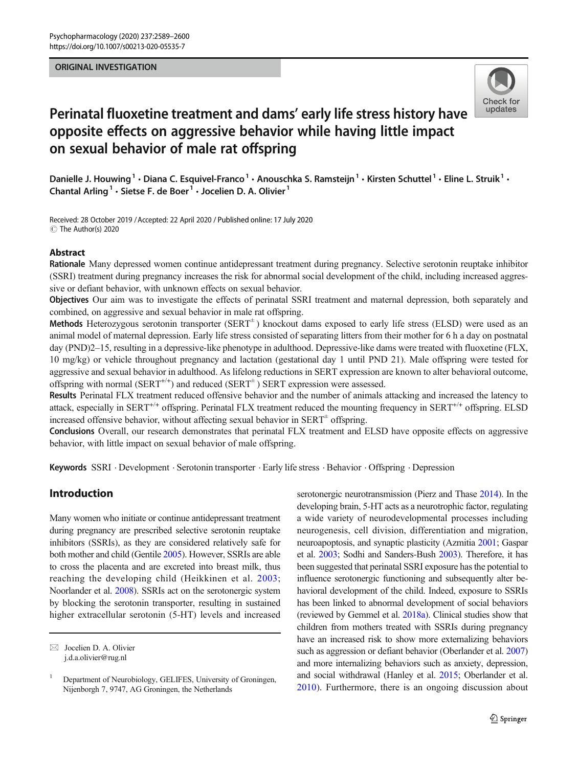## ORIGINAL INVESTIGATION



# Perinatal fluoxetine treatment and dams' early life stress history have opposite effects on aggressive behavior while having little impact on sexual behavior of male rat offspring

Danielle J. Houwing<sup>1</sup> • Diana C. Esquivel-Franco<sup>1</sup> • Anouschka S. Ramsteijn<sup>1</sup> • Kirsten Schuttel<sup>1</sup> • Eline L. Struik<sup>1</sup> • Chantal Arling<sup>1</sup> · Sietse F. de Boer<sup>1</sup> · Jocelien D. A. Olivier<sup>1</sup>

Received: 28 October 2019 /Accepted: 22 April 2020 / Published online: 17 July 2020  $\circledcirc$  The Author(s) 2020

## Abstract

Rationale Many depressed women continue antidepressant treatment during pregnancy. Selective serotonin reuptake inhibitor (SSRI) treatment during pregnancy increases the risk for abnormal social development of the child, including increased aggressive or defiant behavior, with unknown effects on sexual behavior.

Objectives Our aim was to investigate the effects of perinatal SSRI treatment and maternal depression, both separately and combined, on aggressive and sexual behavior in male rat offspring.

Methods Heterozygous serotonin transporter  $(SERT<sup>+</sup>)$  knockout dams exposed to early life stress (ELSD) were used as an animal model of maternal depression. Early life stress consisted of separating litters from their mother for 6 h a day on postnatal day (PND)2–15, resulting in a depressive-like phenotype in adulthood. Depressive-like dams were treated with fluoxetine (FLX, 10 mg/kg) or vehicle throughout pregnancy and lactation (gestational day 1 until PND 21). Male offspring were tested for aggressive and sexual behavior in adulthood. As lifelong reductions in SERT expression are known to alter behavioral outcome, offspring with normal (SERT<sup>+/+</sup>) and reduced (SERT<sup>±</sup>) SERT expression were assessed.

Results Perinatal FLX treatment reduced offensive behavior and the number of animals attacking and increased the latency to attack, especially in SERT<sup>+/+</sup> offspring. Perinatal FLX treatment reduced the mounting frequency in SERT<sup>+/+</sup> offspring. ELSD increased offensive behavior, without affecting sexual behavior in  $SERT<sup>±</sup>$  offspring.

Conclusions Overall, our research demonstrates that perinatal FLX treatment and ELSD have opposite effects on aggressive behavior, with little impact on sexual behavior of male offspring.

Keywords SSRI . Development . Serotonin transporter . Early life stress . Behavior . Offspring . Depression

# Introduction

Many women who initiate or continue antidepressant treatment during pregnancy are prescribed selective serotonin reuptake inhibitors (SSRIs), as they are considered relatively safe for both mother and child (Gentile [2005](#page-10-0)). However, SSRIs are able to cross the placenta and are excreted into breast milk, thus reaching the developing child (Heikkinen et al. [2003](#page-10-0); Noorlander et al. [2008\)](#page-10-0). SSRIs act on the serotonergic system by blocking the serotonin transporter, resulting in sustained higher extracellular serotonin (5-HT) levels and increased

serotonergic neurotransmission (Pierz and Thase [2014\)](#page-11-0). In the developing brain, 5-HT acts as a neurotrophic factor, regulating a wide variety of neurodevelopmental processes including neurogenesis, cell division, differentiation and migration, neuroapoptosis, and synaptic plasticity (Azmitia [2001;](#page-9-0) Gaspar et al. [2003;](#page-10-0) Sodhi and Sanders-Bush [2003\)](#page-11-0). Therefore, it has been suggested that perinatal SSRI exposure has the potential to influence serotonergic functioning and subsequently alter behavioral development of the child. Indeed, exposure to SSRIs has been linked to abnormal development of social behaviors (reviewed by Gemmel et al. [2018a](#page-10-0)). Clinical studies show that children from mothers treated with SSRIs during pregnancy have an increased risk to show more externalizing behaviors such as aggression or defiant behavior (Oberlander et al. [2007](#page-10-0)) and more internalizing behaviors such as anxiety, depression, and social withdrawal (Hanley et al. [2015](#page-10-0); Oberlander et al. [2010](#page-10-0)). Furthermore, there is an ongoing discussion about

 $\boxtimes$  Jocelien D. A. Olivier [j.d.a.olivier@rug.nl](mailto:j.d.a.olivier@rug.nl)

<sup>&</sup>lt;sup>1</sup> Department of Neurobiology, GELIFES, University of Groningen, Nijenborgh 7, 9747, AG Groningen, the Netherlands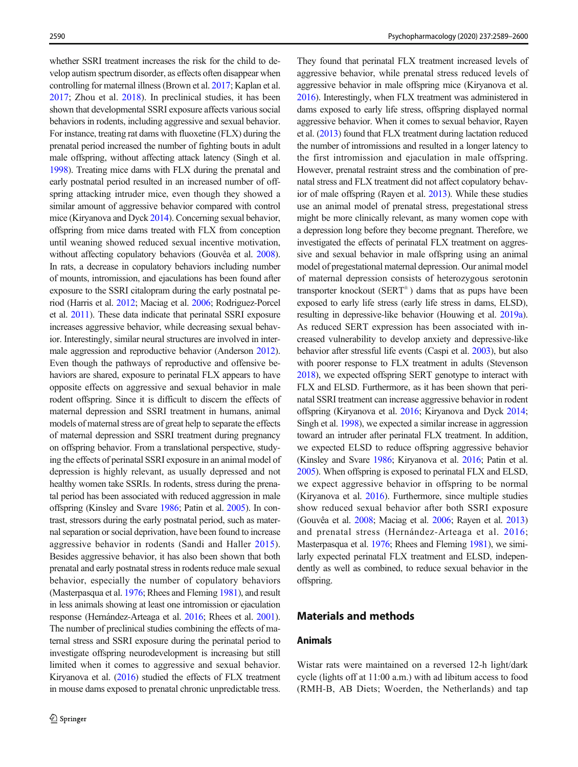whether SSRI treatment increases the risk for the child to develop autism spectrum disorder, as effects often disappear when controlling for maternal illness (Brown et al. [2017](#page-9-0); Kaplan et al. [2017;](#page-10-0) Zhou et al. [2018](#page-11-0)). In preclinical studies, it has been shown that developmental SSRI exposure affects various social behaviors in rodents, including aggressive and sexual behavior. For instance, treating rat dams with fluoxetine (FLX) during the prenatal period increased the number of fighting bouts in adult male offspring, without affecting attack latency (Singh et al. [1998](#page-11-0)). Treating mice dams with FLX during the prenatal and early postnatal period resulted in an increased number of offspring attacking intruder mice, even though they showed a similar amount of aggressive behavior compared with control mice (Kiryanova and Dyck [2014\)](#page-10-0). Concerning sexual behavior, offspring from mice dams treated with FLX from conception until weaning showed reduced sexual incentive motivation, without affecting copulatory behaviors (Gouvêa et al. [2008\)](#page-10-0). In rats, a decrease in copulatory behaviors including number of mounts, intromission, and ejaculations has been found after exposure to the SSRI citalopram during the early postnatal period (Harris et al. [2012](#page-10-0); Maciag et al. [2006;](#page-10-0) Rodriguez-Porcel et al. [2011](#page-11-0)). These data indicate that perinatal SSRI exposure increases aggressive behavior, while decreasing sexual behavior. Interestingly, similar neural structures are involved in intermale aggression and reproductive behavior (Anderson [2012\)](#page-9-0). Even though the pathways of reproductive and offensive behaviors are shared, exposure to perinatal FLX appears to have opposite effects on aggressive and sexual behavior in male rodent offspring. Since it is difficult to discern the effects of maternal depression and SSRI treatment in humans, animal models of maternal stress are of great help to separate the effects of maternal depression and SSRI treatment during pregnancy on offspring behavior. From a translational perspective, studying the effects of perinatal SSRI exposure in an animal model of depression is highly relevant, as usually depressed and not healthy women take SSRIs. In rodents, stress during the prenatal period has been associated with reduced aggression in male offspring (Kinsley and Svare [1986](#page-10-0); Patin et al. [2005\)](#page-11-0). In contrast, stressors during the early postnatal period, such as maternal separation or social deprivation, have been found to increase aggressive behavior in rodents (Sandi and Haller [2015](#page-11-0)). Besides aggressive behavior, it has also been shown that both prenatal and early postnatal stress in rodents reduce male sexual behavior, especially the number of copulatory behaviors (Masterpasqua et al. [1976](#page-10-0); Rhees and Fleming [1981](#page-11-0)), and result in less animals showing at least one intromission or ejaculation response (Hernández-Arteaga et al. [2016](#page-10-0); Rhees et al. [2001\)](#page-11-0). The number of preclinical studies combining the effects of maternal stress and SSRI exposure during the perinatal period to investigate offspring neurodevelopment is increasing but still limited when it comes to aggressive and sexual behavior. Kiryanova et al. ([2016\)](#page-10-0) studied the effects of FLX treatment in mouse dams exposed to prenatal chronic unpredictable tress.

They found that perinatal FLX treatment increased levels of aggressive behavior, while prenatal stress reduced levels of aggressive behavior in male offspring mice (Kiryanova et al. [2016](#page-10-0)). Interestingly, when FLX treatment was administered in dams exposed to early life stress, offspring displayed normal aggressive behavior. When it comes to sexual behavior, Rayen et al. [\(2013\)](#page-11-0) found that FLX treatment during lactation reduced the number of intromissions and resulted in a longer latency to the first intromission and ejaculation in male offspring. However, prenatal restraint stress and the combination of prenatal stress and FLX treatment did not affect copulatory behavior of male offspring (Rayen et al. [2013\)](#page-11-0). While these studies use an animal model of prenatal stress, pregestational stress might be more clinically relevant, as many women cope with a depression long before they become pregnant. Therefore, we investigated the effects of perinatal FLX treatment on aggressive and sexual behavior in male offspring using an animal model of pregestational maternal depression. Our animal model of maternal depression consists of heterozygous serotonin transporter knockout ( $SERT^{\pm}$ ) dams that as pups have been exposed to early life stress (early life stress in dams, ELSD), resulting in depressive-like behavior (Houwing et al. [2019a\)](#page-10-0). As reduced SERT expression has been associated with increased vulnerability to develop anxiety and depressive-like behavior after stressful life events (Caspi et al. [2003\)](#page-9-0), but also with poorer response to FLX treatment in adults (Stevenson [2018](#page-11-0)), we expected offspring SERT genotype to interact with FLX and ELSD. Furthermore, as it has been shown that perinatal SSRI treatment can increase aggressive behavior in rodent offspring (Kiryanova et al. [2016;](#page-10-0) Kiryanova and Dyck [2014;](#page-10-0) Singh et al. [1998\)](#page-11-0), we expected a similar increase in aggression toward an intruder after perinatal FLX treatment. In addition, we expected ELSD to reduce offspring aggressive behavior (Kinsley and Svare [1986;](#page-10-0) Kiryanova et al. [2016;](#page-10-0) Patin et al. [2005](#page-11-0)). When offspring is exposed to perinatal FLX and ELSD, we expect aggressive behavior in offspring to be normal (Kiryanova et al. [2016](#page-10-0)). Furthermore, since multiple studies show reduced sexual behavior after both SSRI exposure (Gouvêa et al. [2008;](#page-10-0) Maciag et al. [2006;](#page-10-0) Rayen et al. [2013](#page-11-0)) and prenatal stress (Hernández-Arteaga et al. [2016;](#page-10-0) Masterpasqua et al. [1976;](#page-10-0) Rhees and Fleming [1981\)](#page-11-0), we similarly expected perinatal FLX treatment and ELSD, independently as well as combined, to reduce sexual behavior in the offspring.

## Materials and methods

## Animals

Wistar rats were maintained on a reversed 12-h light/dark cycle (lights off at 11:00 a.m.) with ad libitum access to food (RMH-B, AB Diets; Woerden, the Netherlands) and tap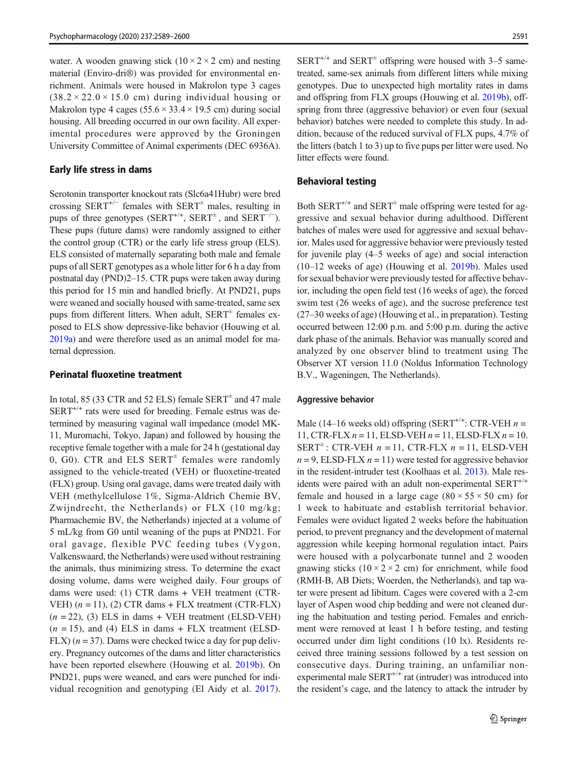water. A wooden gnawing stick  $(10 \times 2 \times 2$  cm) and nesting material (Enviro-dri®) was provided for environmental enrichment. Animals were housed in Makrolon type 3 cages  $(38.2 \times 22.0 \times 15.0$  cm) during individual housing or Makrolon type 4 cages  $(55.6 \times 33.4 \times 19.5 \text{ cm})$  during social housing. All breeding occurred in our own facility. All experimental procedures were approved by the Groningen University Committee of Animal experiments (DEC 6936A).

#### Early life stress in dams

Serotonin transporter knockout rats (Slc6a41Hubr) were bred crossing SERT<sup>+/−</sup> females with SERT<sup> $±$ </sup> males, resulting in pups of three genotypes (SERT<sup>+/+</sup>, SERT<sup>+</sup>, and SERT<sup>-/-</sup>). These pups (future dams) were randomly assigned to either the control group (CTR) or the early life stress group (ELS). ELS consisted of maternally separating both male and female pups of all SERT genotypes as a whole litter for 6 h a day from postnatal day (PND)2–15. CTR pups were taken away during this period for 15 min and handled briefly. At PND21, pups were weaned and socially housed with same-treated, same sex pups from different litters. When adult,  $SERT^{\pm}$  females exposed to ELS show depressive-like behavior (Houwing et al. [2019a\)](#page-10-0) and were therefore used as an animal model for maternal depression.

## Perinatal fluoxetine treatment

In total, 85 (33 CTR and 52 ELS) female  $SERT^{\pm}$  and 47 male  $SERT^{+/+}$  rats were used for breeding. Female estrus was determined by measuring vaginal wall impedance (model MK-11, Muromachi, Tokyo, Japan) and followed by housing the receptive female together with a male for 24 h (gestational day 0, G0). CTR and ELS  $SERT^{\pm}$  females were randomly assigned to the vehicle-treated (VEH) or fluoxetine-treated (FLX) group. Using oral gavage, dams were treated daily with VEH (methylcellulose 1%, Sigma-Aldrich Chemie BV, Zwijndrecht, the Netherlands) or FLX (10 mg/kg; Pharmachemie BV, the Netherlands) injected at a volume of 5 mL/kg from G0 until weaning of the pups at PND21. For oral gavage, flexible PVC feeding tubes (Vygon, Valkenswaard, the Netherlands) were used without restraining the animals, thus minimizing stress. To determine the exact dosing volume, dams were weighed daily. Four groups of dams were used: (1) CTR dams + VEH treatment (CTR-VEH)  $(n = 11)$ , (2) CTR dams + FLX treatment (CTR-FLX)  $(n = 22)$ , (3) ELS in dams + VEH treatment (ELSD-VEH)  $(n = 15)$ , and (4) ELS in dams + FLX treatment (ELSD-FLX)  $(n = 37)$ . Dams were checked twice a day for pup delivery. Pregnancy outcomes of the dams and litter characteristics have been reported elsewhere (Houwing et al. [2019b\)](#page-10-0). On PND21, pups were weaned, and ears were punched for individual recognition and genotyping (El Aidy et al. [2017](#page-10-0)).

 $SERT^{+/+}$  and  $SERT^{\pm}$  offspring were housed with 3–5 sametreated, same-sex animals from different litters while mixing genotypes. Due to unexpected high mortality rates in dams and offspring from FLX groups (Houwing et al. [2019b\)](#page-10-0), offspring from three (aggressive behavior) or even four (sexual behavior) batches were needed to complete this study. In addition, because of the reduced survival of FLX pups, 4.7% of the litters (batch 1 to 3) up to five pups per litter were used. No litter effects were found.

## Behavioral testing

Both SERT<sup>+/+</sup> and SERT<sup> $\pm$ </sup> male offspring were tested for aggressive and sexual behavior during adulthood. Different batches of males were used for aggressive and sexual behavior. Males used for aggressive behavior were previously tested for juvenile play (4–5 weeks of age) and social interaction (10–12 weeks of age) (Houwing et al. [2019b](#page-10-0)). Males used for sexual behavior were previously tested for affective behavior, including the open field test (16 weeks of age), the forced swim test (26 weeks of age), and the sucrose preference test (27–30 weeks of age) (Houwing et al., in preparation). Testing occurred between 12:00 p.m. and 5:00 p.m. during the active dark phase of the animals. Behavior was manually scored and analyzed by one observer blind to treatment using The Observer XT version 11.0 (Noldus Information Technology B.V., Wageningen, The Netherlands).

### Aggressive behavior

Male (14–16 weeks old) offspring (SERT<sup>+/+</sup>: CTR-VEH  $n =$ 11, CTR-FLX  $n = 11$ , ELSD-VEH  $n = 11$ , ELSD-FLX  $n = 10$ . SERT $\pm$ : CTR-VEH  $n = 11$ , CTR-FLX  $n = 11$ , ELSD-VEH  $n = 9$ , ELSD-FLX  $n = 11$ ) were tested for aggressive behavior in the resident-intruder test (Koolhaas et al. [2013\)](#page-10-0). Male residents were paired with an adult non-experimental  $SERT^{+/+}$ female and housed in a large cage  $(80 \times 55 \times 50 \text{ cm})$  for 1 week to habituate and establish territorial behavior. Females were oviduct ligated 2 weeks before the habituation period, to prevent pregnancy and the development of maternal aggression while keeping hormonal regulation intact. Pairs were housed with a polycarbonate tunnel and 2 wooden gnawing sticks  $(10 \times 2 \times 2$  cm) for enrichment, while food (RMH-B, AB Diets; Woerden, the Netherlands), and tap water were present ad libitum. Cages were covered with a 2-cm layer of Aspen wood chip bedding and were not cleaned during the habituation and testing period. Females and enrichment were removed at least 1 h before testing, and testing occurred under dim light conditions (10 lx). Residents received three training sessions followed by a test session on consecutive days. During training, an unfamiliar nonexperimental male  $SERT^{+/+}$  rat (intruder) was introduced into the resident's cage, and the latency to attack the intruder by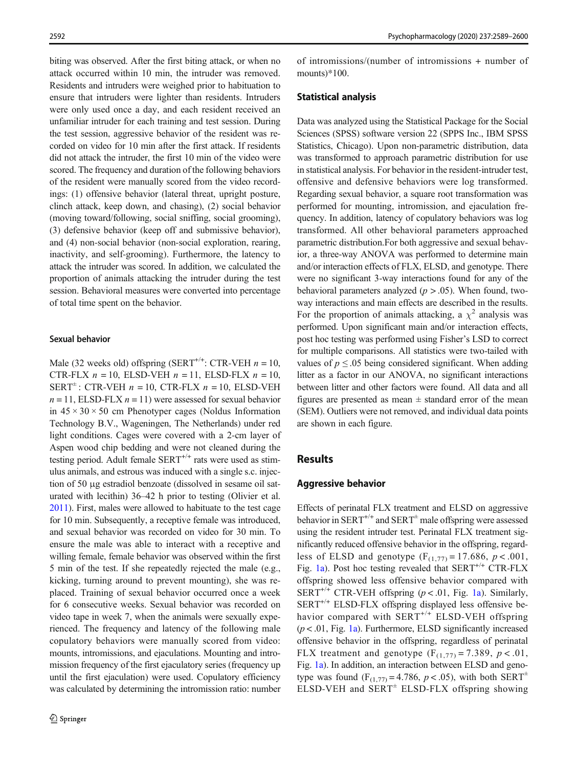biting was observed. After the first biting attack, or when no attack occurred within 10 min, the intruder was removed. Residents and intruders were weighed prior to habituation to ensure that intruders were lighter than residents. Intruders were only used once a day, and each resident received an unfamiliar intruder for each training and test session. During the test session, aggressive behavior of the resident was recorded on video for 10 min after the first attack. If residents did not attack the intruder, the first 10 min of the video were scored. The frequency and duration of the following behaviors of the resident were manually scored from the video recordings: (1) offensive behavior (lateral threat, upright posture, clinch attack, keep down, and chasing), (2) social behavior (moving toward/following, social sniffing, social grooming), (3) defensive behavior (keep off and submissive behavior), and (4) non-social behavior (non-social exploration, rearing, inactivity, and self-grooming). Furthermore, the latency to attack the intruder was scored. In addition, we calculated the proportion of animals attacking the intruder during the test session. Behavioral measures were converted into percentage of total time spent on the behavior.

#### Sexual behavior

Male (32 weeks old) offspring (SERT<sup>+/+</sup>: CTR-VEH  $n = 10$ , CTR-FLX  $n = 10$ , ELSD-VEH  $n = 11$ , ELSD-FLX  $n = 10$ , SERT $\pm$ : CTR-VEH  $n = 10$ , CTR-FLX  $n = 10$ , ELSD-VEH  $n = 11$ , ELSD-FLX  $n = 11$ ) were assessed for sexual behavior in  $45 \times 30 \times 50$  cm Phenotyper cages (Noldus Information Technology B.V., Wageningen, The Netherlands) under red light conditions. Cages were covered with a 2-cm layer of Aspen wood chip bedding and were not cleaned during the testing period. Adult female SERT<sup>+/+</sup> rats were used as stimulus animals, and estrous was induced with a single s.c. injection of 50 μg estradiol benzoate (dissolved in sesame oil saturated with lecithin) 36–42 h prior to testing (Olivier et al. [2011\)](#page-11-0). First, males were allowed to habituate to the test cage for 10 min. Subsequently, a receptive female was introduced, and sexual behavior was recorded on video for 30 min. To ensure the male was able to interact with a receptive and willing female, female behavior was observed within the first 5 min of the test. If she repeatedly rejected the male (e.g., kicking, turning around to prevent mounting), she was replaced. Training of sexual behavior occurred once a week for 6 consecutive weeks. Sexual behavior was recorded on video tape in week 7, when the animals were sexually experienced. The frequency and latency of the following male copulatory behaviors were manually scored from video: mounts, intromissions, and ejaculations. Mounting and intromission frequency of the first ejaculatory series (frequency up until the first ejaculation) were used. Copulatory efficiency was calculated by determining the intromission ratio: number

of intromissions/(number of intromissions + number of mounts)\*100.

#### Statistical analysis

Data was analyzed using the Statistical Package for the Social Sciences (SPSS) software version 22 (SPPS Inc., IBM SPSS Statistics, Chicago). Upon non-parametric distribution, data was transformed to approach parametric distribution for use in statistical analysis. For behavior in the resident-intruder test, offensive and defensive behaviors were log transformed. Regarding sexual behavior, a square root transformation was performed for mounting, intromission, and ejaculation frequency. In addition, latency of copulatory behaviors was log transformed. All other behavioral parameters approached parametric distribution.For both aggressive and sexual behavior, a three-way ANOVA was performed to determine main and/or interaction effects of FLX, ELSD, and genotype. There were no significant 3-way interactions found for any of the behavioral parameters analyzed ( $p > .05$ ). When found, twoway interactions and main effects are described in the results. For the proportion of animals attacking, a  $\chi^2$  analysis was performed. Upon significant main and/or interaction effects, post hoc testing was performed using Fisher's LSD to correct for multiple comparisons. All statistics were two-tailed with values of  $p \leq 0.05$  being considered significant. When adding litter as a factor in our ANOVA, no significant interactions between litter and other factors were found. All data and all figures are presented as mean  $\pm$  standard error of the mean (SEM). Outliers were not removed, and individual data points are shown in each figure.

## Results

#### Aggressive behavior

Effects of perinatal FLX treatment and ELSD on aggressive behavior in SERT<sup>+/+</sup> and SERT<sup> $\pm$ </sup> male offspring were assessed using the resident intruder test. Perinatal FLX treatment significantly reduced offensive behavior in the offspring, regardless of ELSD and genotype  $(F_{(1,77)} = 17.686, p < .001,$ Fig. [1a](#page-4-0)). Post hoc testing revealed that  $SERT^{+/+} CTR-FLX$ offspring showed less offensive behavior compared with SERT<sup>+/+</sup> CTR-VEH offspring ( $p < .01$ , Fig. [1a\)](#page-4-0). Similarly,  $SERT^{+/+} ELSD-FLX$  offspring displayed less offensive behavior compared with SERT<sup>+/+</sup> ELSD-VEH offspring  $(p < .01,$  Fig. [1a](#page-4-0)). Furthermore, ELSD significantly increased offensive behavior in the offspring, regardless of perinatal FLX treatment and genotype  $(F_{(1,77)} = 7.389, p < .01,$ Fig. [1a](#page-4-0)). In addition, an interaction between ELSD and genotype was found ( $F_{(1,77)} = 4.786$ ,  $p < .05$ ), with both SERT<sup>±</sup> ELSD-VEH and  $SERT^{\pm}$  ELSD-FLX offspring showing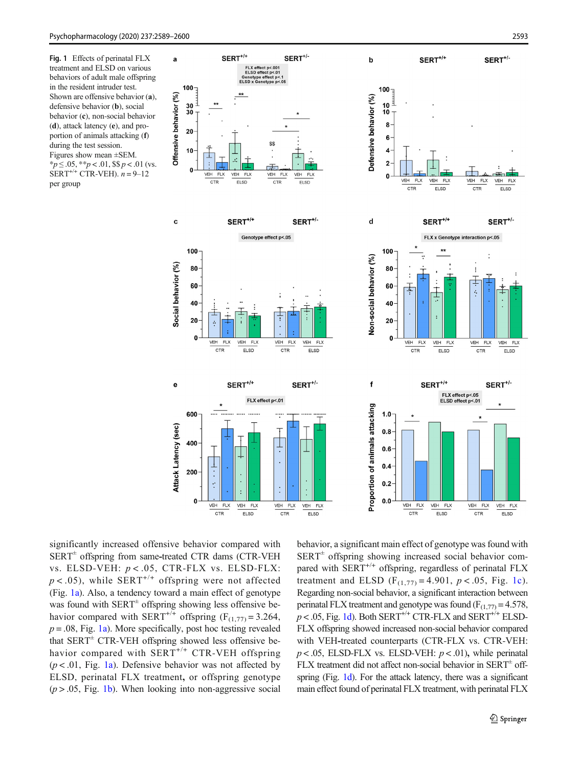<span id="page-4-0"></span>Fig. 1 Effects of perinatal FLX treatment and ELSD on various behaviors of adult male offspring in the resident intruder test. Shown are offensive behavior (a), defensive behavior (b), social behavior (c), non-social behavior (d), attack latency (e), and proportion of animals attacking (f) during the test session.

Figures show mean ±SEM.  $*_{p} \leq .05, **_{p} < .01,$  \$\$  $p < .01$  (vs.  $SERT^{+/+} CTR-VEH$ ).  $n = 9-12$ per group



significantly increased offensive behavior compared with  $SERT^{\pm}$  offspring from same-treated CTR dams (CTR-VEH vs. ELSD-VEH:  $p < .05$ , CTR-FLX vs. ELSD-FLX:  $p < .05$ ), while SERT<sup>+/+</sup> offspring were not affected (Fig. 1a). Also, a tendency toward a main effect of genotype was found with  $SERT^{\pm}$  offspring showing less offensive behavior compared with SERT<sup>+/+</sup> offspring (F<sub>(1,77)</sub> = 3.264,  $p = .08$ , Fig. 1a). More specifically, post hoc testing revealed that  $SERT^{\pm} CTR-VEH$  offspring showed less offensive behavior compared with  $SERT^{+/+} CTR-VEH$  offspring  $(p < .01,$  Fig. 1a). Defensive behavior was not affected by ELSD, perinatal FLX treatment, or offspring genotype  $(p > .05, Fig. 1b)$ . When looking into non-aggressive social behavior, a significant main effect of genotype was found with  $SERT^{\pm}$  offspring showing increased social behavior compared with  $SERT^{+/+}$  offspring, regardless of perinatal FLX treatment and ELSD ( $F_{(1,77)} = 4.901$ ,  $p < .05$ , Fig. 1c). Regarding non-social behavior, a significant interaction between perinatal FLX treatment and genotype was found  $(F_{(1,77)} = 4.578$ ,  $p$  < .05, Fig. 1d). Both SERT<sup>+/+</sup> CTR-FLX and SERT<sup>+/+</sup> ELSD-FLX offspring showed increased non-social behavior compared with VEH-treated counterparts (CTR-FLX vs. CTR-VEH:  $p < .05$ , ELSD-FLX vs. ELSD-VEH:  $p < .01$ ), while perinatal FLX treatment did not affect non-social behavior in  $SERT^{\pm}$  offspring (Fig. 1d). For the attack latency, there was a significant main effect found of perinatal FLX treatment, with perinatal FLX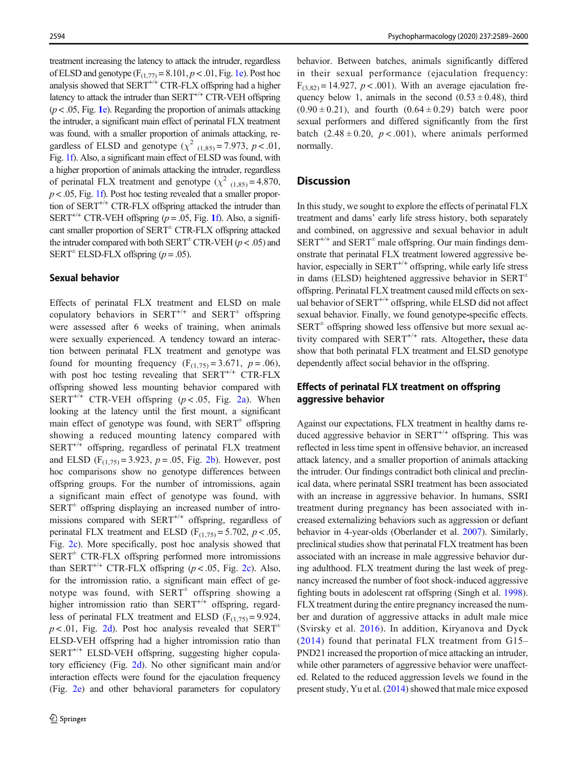treatment increasing the latency to attack the intruder, regardless of ELSD and genotype  $(F_{(1,77)} = 8.101, p < .01, Fig. 1e)$  $(F_{(1,77)} = 8.101, p < .01, Fig. 1e)$ . Post hoc analysis showed that  $SERT^{+/+} CTR-FLX$  offspring had a higher latency to attack the intruder than  $SERT^{+/+} CTR-VEH$  offspring  $(p < .05$ , Fig. 1[e](#page-4-0)). Regarding the proportion of animals attacking the intruder, a significant main effect of perinatal FLX treatment was found, with a smaller proportion of animals attacking, regardless of ELSD and genotype ( $\chi^2$  (1,85) = 7.973, p < .01, Fig. [1f](#page-4-0)). Also, a significant main effect of ELSD was found, with a higher proportion of animals attacking the intruder, regardless of perinatal FLX treatment and genotype ( $\chi^2$  (1,85) = 4.870,  $p < .05$ , Fig. [1f](#page-4-0)). Post hoc testing revealed that a smaller proportion of SERT<sup>+/+</sup> CTR-FLX offspring attacked the intruder than SERT<sup>+/+</sup> CTR-VEH offspring ( $p = .05$ , Fig. [1](#page-4-0)f). Also, a significant smaller proportion of  $SERT^{\pm} CTR-FLX$  offspring attacked the intruder compared with both  $SERT^{\pm}CTR\text{-}VEH (p < .05)$  and SERT<sup> $\pm$ </sup> ELSD-FLX offspring ( $p = .05$ ).

#### Sexual behavior

Effects of perinatal FLX treatment and ELSD on male copulatory behaviors in SERT<sup>+/+</sup> and SERT<sup>+</sup> offspring were assessed after 6 weeks of training, when animals were sexually experienced. A tendency toward an interaction between perinatal FLX treatment and genotype was found for mounting frequency  $(F_{(1,75)} = 3.671, p = .06)$ , with post hoc testing revealing that  $SERT^{+/+} CTR-FLX$ offspring showed less mounting behavior compared with SERT<sup>+/+</sup> CTR-VEH offspring ( $p < .05$ , Fig. [2a\)](#page-6-0). When looking at the latency until the first mount, a significant main effect of genotype was found, with  $SERT^{\pm}$  offspring showing a reduced mounting latency compared with  $SERT^{+/+}$  offspring, regardless of perinatal FLX treatment and ELSD  $(F_{(1,75)} = 3.923, p = .05, Fig. 2b)$  $(F_{(1,75)} = 3.923, p = .05, Fig. 2b)$ . However, post hoc comparisons show no genotype differences between offspring groups. For the number of intromissions, again a significant main effect of genotype was found, with  $SERT<sup>±</sup>$  offspring displaying an increased number of intromissions compared with  $SERT^{+/+}$  offspring, regardless of perinatal FLX treatment and ELSD ( $F_{(1,75)} = 5.702$ ,  $p < .05$ , Fig. [2c\)](#page-6-0). More specifically, post hoc analysis showed that  $SERT^{\pm}$  CTR-FLX offspring performed more intromissions than SERT<sup>+/+</sup> CTR-FLX offspring ( $p < .05$ , Fig. [2c\)](#page-6-0). Also, for the intromission ratio, a significant main effect of genotype was found, with  $SERT^{\pm}$  offspring showing a higher intromission ratio than  $SERT^{+/+}$  offspring, regardless of perinatal FLX treatment and ELSD ( $F_{(1,75)} = 9.924$ ,  $p < .01$ , Fig. [2d\)](#page-6-0). Post hoc analysis revealed that SERT<sup> $±$ </sup> ELSD-VEH offspring had a higher intromission ratio than  $SERT^{+/+} ELSD-VEH$  offspring, suggesting higher copulatory efficiency (Fig. [2d\)](#page-6-0). No other significant main and/or interaction effects were found for the ejaculation frequency (Fig. [2e](#page-6-0)) and other behavioral parameters for copulatory

behavior. Between batches, animals significantly differed in their sexual performance (ejaculation frequency:  $F_{(3,82)} = 14.927$ ,  $p < .001$ ). With an average ejaculation frequency below 1, animals in the second  $(0.53 \pm 0.48)$ , third  $(0.90 \pm 0.21)$ , and fourth  $(0.64 \pm 0.29)$  batch were poor sexual performers and differed significantly from the first batch  $(2.48 \pm 0.20, p < .001)$ , where animals performed normally.

## **Discussion**

In this study, we sought to explore the effects of perinatal FLX treatment and dams' early life stress history, both separately and combined, on aggressive and sexual behavior in adult  $SERT^{+/+}$  and  $SERT^{\pm}$  male offspring. Our main findings demonstrate that perinatal FLX treatment lowered aggressive behavior, especially in  $SERT^{+/+}$  offspring, while early life stress in dams (ELSD) heightened aggressive behavior in  $SERT^{\pm}$ offspring. Perinatal FLX treatment caused mild effects on sexual behavior of  $SERT^{+/+}$  offspring, while ELSD did not affect sexual behavior. Finally, we found genotype-specific effects.  $SERT^{\pm}$  offspring showed less offensive but more sexual activity compared with  $SERT^{+/+}$  rats. Altogether, these data show that both perinatal FLX treatment and ELSD genotype dependently affect social behavior in the offspring.

# Effects of perinatal FLX treatment on offspring aggressive behavior

Against our expectations, FLX treatment in healthy dams reduced aggressive behavior in  $SERT^{+/+}$  offspring. This was reflected in less time spent in offensive behavior, an increased attack latency, and a smaller proportion of animals attacking the intruder. Our findings contradict both clinical and preclinical data, where perinatal SSRI treatment has been associated with an increase in aggressive behavior. In humans, SSRI treatment during pregnancy has been associated with increased externalizing behaviors such as aggression or defiant behavior in 4-year-olds (Oberlander et al. [2007\)](#page-10-0). Similarly, preclinical studies show that perinatal FLX treatment has been associated with an increase in male aggressive behavior during adulthood. FLX treatment during the last week of pregnancy increased the number of foot shock-induced aggressive fighting bouts in adolescent rat offspring (Singh et al. [1998\)](#page-11-0). FLX treatment during the entire pregnancy increased the number and duration of aggressive attacks in adult male mice (Svirsky et al. [2016\)](#page-11-0). In addition, Kiryanova and Dyck ([2014\)](#page-10-0) found that perinatal FLX treatment from G15– PND21 increased the proportion of mice attacking an intruder, while other parameters of aggressive behavior were unaffected. Related to the reduced aggression levels we found in the present study, Yu et al. [\(2014\)](#page-11-0) showed that male mice exposed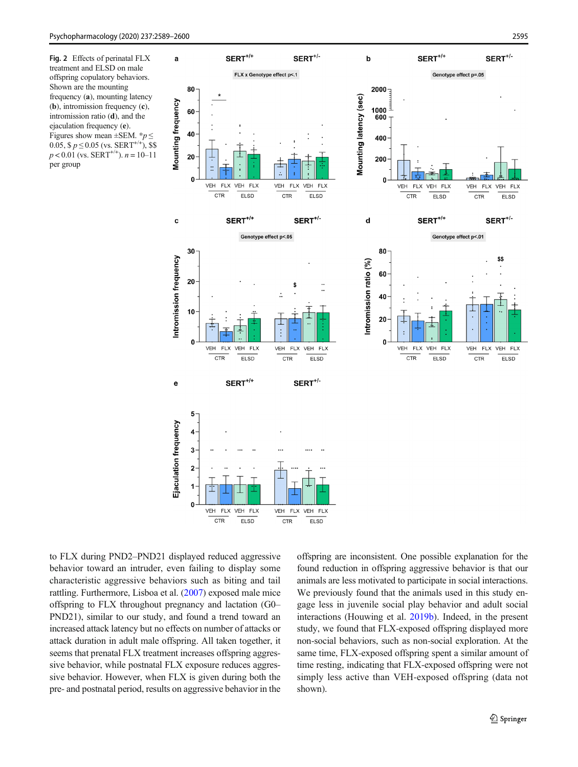<span id="page-6-0"></span>Fig. 2 Effects of perinatal FLX treatment and ELSD on male offspring copulatory behaviors. Shown are the mounting frequency (a), mounting latency (b), intromission frequency (c), intromission ratio (d), and the ejaculation frequency (e). Figures show mean  $\pm$ SEM. \* $p \leq$ 0.05,  $\frac{6}{5} p \le 0.05$  (vs. SERT<sup>+/+</sup>), \$\$  $p < 0.01$  (vs. SERT<sup>+/+</sup>).  $n = 10-11$ per group



to FLX during PND2–PND21 displayed reduced aggressive behavior toward an intruder, even failing to display some characteristic aggressive behaviors such as biting and tail rattling. Furthermore, Lisboa et al. ([2007](#page-10-0)) exposed male mice offspring to FLX throughout pregnancy and lactation (G0– PND21), similar to our study, and found a trend toward an increased attack latency but no effects on number of attacks or attack duration in adult male offspring. All taken together, it seems that prenatal FLX treatment increases offspring aggressive behavior, while postnatal FLX exposure reduces aggressive behavior. However, when FLX is given during both the pre- and postnatal period, results on aggressive behavior in the offspring are inconsistent. One possible explanation for the found reduction in offspring aggressive behavior is that our animals are less motivated to participate in social interactions. We previously found that the animals used in this study engage less in juvenile social play behavior and adult social interactions (Houwing et al. [2019b](#page-10-0)). Indeed, in the present study, we found that FLX-exposed offspring displayed more non-social behaviors, such as non-social exploration. At the same time, FLX-exposed offspring spent a similar amount of time resting, indicating that FLX-exposed offspring were not simply less active than VEH-exposed offspring (data not shown).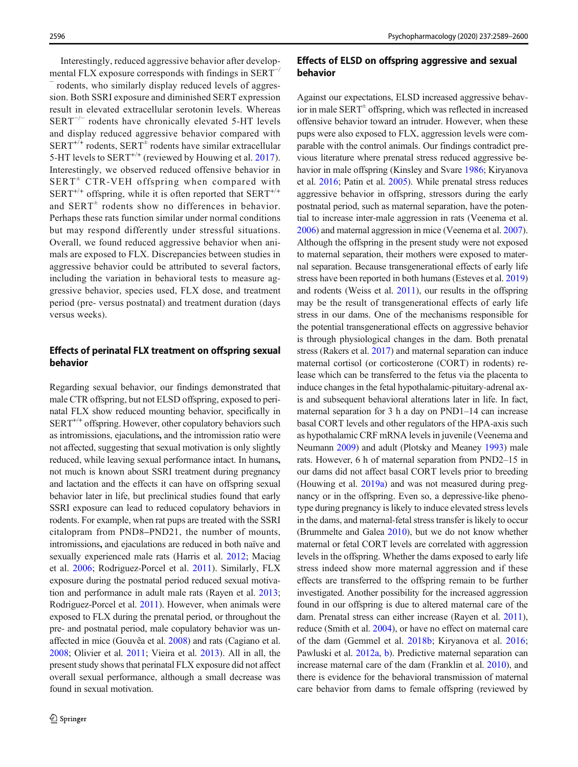Interestingly, reduced aggressive behavior after developmental FLX exposure corresponds with findings in  $SERT^{-/}$ rodents, who similarly display reduced levels of aggression. Both SSRI exposure and diminished SERT expression result in elevated extracellular serotonin levels. Whereas  $SERT^{-/-}$  rodents have chronically elevated 5-HT levels and display reduced aggressive behavior compared with  $SERT^{+/+}$  rodents,  $SERT^{\pm}$  rodents have similar extracellular 5-HT levels to  $SERT^{+/+}$  (reviewed by Houwing et al. [2017](#page-10-0)). Interestingly, we observed reduced offensive behavior in  $SERT^{\pm}$  CTR-VEH offspring when compared with  $SERT^{+/+}$  offspring, while it is often reported that  $SERT^{+/+}$ and  $SERT^{\pm}$  rodents show no differences in behavior. Perhaps these rats function similar under normal conditions but may respond differently under stressful situations. Overall, we found reduced aggressive behavior when animals are exposed to FLX. Discrepancies between studies in aggressive behavior could be attributed to several factors, including the variation in behavioral tests to measure aggressive behavior, species used, FLX dose, and treatment period (pre- versus postnatal) and treatment duration (days versus weeks).

## Effects of perinatal FLX treatment on offspring sexual behavior

Regarding sexual behavior, our findings demonstrated that male CTR offspring, but not ELSD offspring, exposed to perinatal FLX show reduced mounting behavior, specifically in  $SERT^{+/+}$  offspring. However, other copulatory behaviors such as intromissions, ejaculations, and the intromission ratio were not affected, suggesting that sexual motivation is only slightly reduced, while leaving sexual performance intact. In humans, not much is known about SSRI treatment during pregnancy and lactation and the effects it can have on offspring sexual behavior later in life, but preclinical studies found that early SSRI exposure can lead to reduced copulatory behaviors in rodents. For example, when rat pups are treated with the SSRI citalopram from PND8–PND21, the number of mounts, intromissions, and ejaculations are reduced in both naïve and sexually experienced male rats (Harris et al. [2012](#page-10-0); Maciag et al. [2006;](#page-10-0) Rodriguez-Porcel et al. [2011](#page-11-0)). Similarly, FLX exposure during the postnatal period reduced sexual motivation and performance in adult male rats (Rayen et al. [2013](#page-11-0); Rodriguez-Porcel et al. [2011\)](#page-11-0). However, when animals were exposed to FLX during the prenatal period, or throughout the pre- and postnatal period, male copulatory behavior was unaffected in mice (Gouvêa et al. [2008](#page-10-0)) and rats (Cagiano et al. [2008;](#page-9-0) Olivier et al. [2011](#page-11-0); Vieira et al. [2013](#page-11-0)). All in all, the present study shows that perinatal FLX exposure did not affect overall sexual performance, although a small decrease was found in sexual motivation.

# Effects of ELSD on offspring aggressive and sexual behavior

Against our expectations, ELSD increased aggressive behavior in male  $SERT^{\pm}$  offspring, which was reflected in increased offensive behavior toward an intruder. However, when these pups were also exposed to FLX, aggression levels were comparable with the control animals. Our findings contradict previous literature where prenatal stress reduced aggressive behavior in male offspring (Kinsley and Svare [1986](#page-10-0); Kiryanova et al. [2016;](#page-10-0) Patin et al. [2005](#page-11-0)). While prenatal stress reduces aggressive behavior in offspring, stressors during the early postnatal period, such as maternal separation, have the potential to increase inter-male aggression in rats (Veenema et al. [2006\)](#page-11-0) and maternal aggression in mice (Veenema et al. [2007\)](#page-11-0). Although the offspring in the present study were not exposed to maternal separation, their mothers were exposed to maternal separation. Because transgenerational effects of early life stress have been reported in both humans (Esteves et al. [2019](#page-10-0)) and rodents (Weiss et al. [2011\)](#page-11-0), our results in the offspring may be the result of transgenerational effects of early life stress in our dams. One of the mechanisms responsible for the potential transgenerational effects on aggressive behavior is through physiological changes in the dam. Both prenatal stress (Rakers et al. [2017\)](#page-11-0) and maternal separation can induce maternal cortisol (or corticosterone (CORT) in rodents) release which can be transferred to the fetus via the placenta to induce changes in the fetal hypothalamic-pituitary-adrenal axis and subsequent behavioral alterations later in life. In fact, maternal separation for 3 h a day on PND1–14 can increase basal CORT levels and other regulators of the HPA-axis such as hypothalamic CRF mRNA levels in juvenile (Veenema and Neumann [2009\)](#page-11-0) and adult (Plotsky and Meaney [1993](#page-11-0)) male rats. However, 6 h of maternal separation from PND2–15 in our dams did not affect basal CORT levels prior to breeding (Houwing et al. [2019a\)](#page-10-0) and was not measured during pregnancy or in the offspring. Even so, a depressive-like phenotype during pregnancy is likely to induce elevated stress levels in the dams, and maternal-fetal stress transfer is likely to occur (Brummelte and Galea [2010](#page-9-0)), but we do not know whether maternal or fetal CORT levels are correlated with aggression levels in the offspring. Whether the dams exposed to early life stress indeed show more maternal aggression and if these effects are transferred to the offspring remain to be further investigated. Another possibility for the increased aggression found in our offspring is due to altered maternal care of the dam. Prenatal stress can either increase (Rayen et al. [2011\)](#page-11-0), reduce (Smith et al. [2004\)](#page-11-0), or have no effect on maternal care of the dam (Gemmel et al. [2018b](#page-10-0); Kiryanova et al. [2016;](#page-10-0) Pawluski et al. [2012a,](#page-11-0) [b\)](#page-11-0). Predictive maternal separation can increase maternal care of the dam (Franklin et al. [2010\)](#page-10-0), and there is evidence for the behavioral transmission of maternal care behavior from dams to female offspring (reviewed by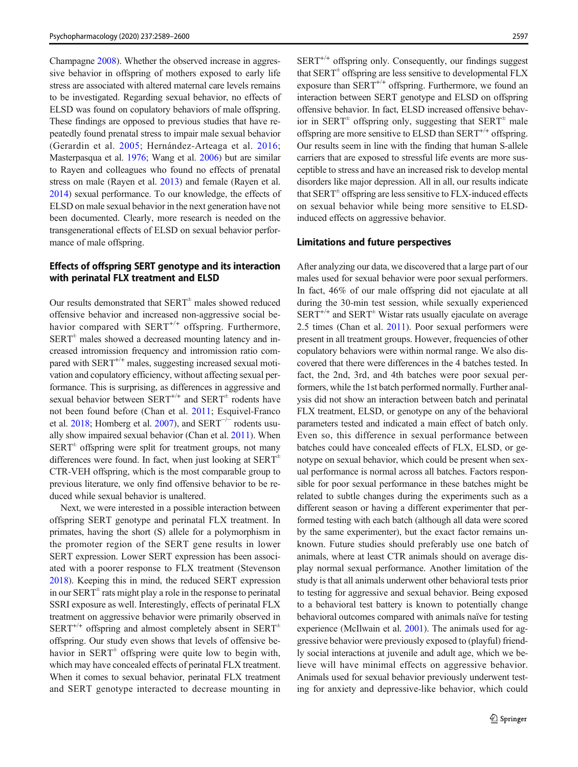Champagne [2008\)](#page-10-0). Whether the observed increase in aggressive behavior in offspring of mothers exposed to early life stress are associated with altered maternal care levels remains to be investigated. Regarding sexual behavior, no effects of ELSD was found on copulatory behaviors of male offspring. These findings are opposed to previous studies that have repeatedly found prenatal stress to impair male sexual behavior (Gerardin et al. [2005](#page-10-0); Hernández-Arteaga et al. [2016](#page-10-0); Masterpasqua et al. [1976](#page-10-0); Wang et al. [2006](#page-11-0)) but are similar to Rayen and colleagues who found no effects of prenatal stress on male (Rayen et al. [2013\)](#page-11-0) and female (Rayen et al. [2014\)](#page-11-0) sexual performance. To our knowledge, the effects of ELSD on male sexual behavior in the next generation have not been documented. Clearly, more research is needed on the transgenerational effects of ELSD on sexual behavior performance of male offspring.

# Effects of offspring SERT genotype and its interaction with perinatal FLX treatment and ELSD

Our results demonstrated that  $SERT^{\pm}$  males showed reduced offensive behavior and increased non-aggressive social behavior compared with SERT<sup>+/+</sup> offspring. Furthermore,  $SERT<sup>±</sup>$  males showed a decreased mounting latency and increased intromission frequency and intromission ratio compared with  $SERT^{+/+}$  males, suggesting increased sexual motivation and copulatory efficiency, without affecting sexual performance. This is surprising, as differences in aggressive and sexual behavior between  $SERT^{+/+}$  and  $SERT^{\pm}$  rodents have not been found before (Chan et al. [2011;](#page-10-0) Esquivel-Franco et al. [2018](#page-10-0); Homberg et al. [2007\)](#page-10-0), and SERT<sup> $-/-$ </sup> rodents usually show impaired sexual behavior (Chan et al. [2011\)](#page-10-0). When  $SERT<sup>±</sup>$  offspring were split for treatment groups, not many differences were found. In fact, when just looking at  $SERT^{\pm}$ CTR-VEH offspring, which is the most comparable group to previous literature, we only find offensive behavior to be reduced while sexual behavior is unaltered.

Next, we were interested in a possible interaction between offspring SERT genotype and perinatal FLX treatment. In primates, having the short (S) allele for a polymorphism in the promoter region of the SERT gene results in lower SERT expression. Lower SERT expression has been associated with a poorer response to FLX treatment (Stevenson [2018\)](#page-11-0). Keeping this in mind, the reduced SERT expression in our  $SERT^{\pm}$  rats might play a role in the response to perinatal SSRI exposure as well. Interestingly, effects of perinatal FLX treatment on aggressive behavior were primarily observed in  $SERT^{+/+}$  offspring and almost completely absent in  $SERT^{\pm}$ offspring. Our study even shows that levels of offensive behavior in  $SERT^{\pm}$  offspring were quite low to begin with, which may have concealed effects of perinatal FLX treatment. When it comes to sexual behavior, perinatal FLX treatment and SERT genotype interacted to decrease mounting in  $SERT^{+/+}$  offspring only. Consequently, our findings suggest that  $SERT^{\pm}$  offspring are less sensitive to developmental FLX exposure than  $SERT^{+/+}$  offspring. Furthermore, we found an interaction between SERT genotype and ELSD on offspring offensive behavior. In fact, ELSD increased offensive behavior in SERT<sup> $\pm$ </sup> offspring only, suggesting that SERT<sup> $\pm$ </sup> male offspring are more sensitive to ELSD than  $SERT^{+/+}$  offspring. Our results seem in line with the finding that human S-allele carriers that are exposed to stressful life events are more susceptible to stress and have an increased risk to develop mental disorders like major depression. All in all, our results indicate that  $SERT^{\pm}$  offspring are less sensitive to FLX-induced effects on sexual behavior while being more sensitive to ELSDinduced effects on aggressive behavior.

#### Limitations and future perspectives

After analyzing our data, we discovered that a large part of our males used for sexual behavior were poor sexual performers. In fact, 46% of our male offspring did not ejaculate at all during the 30-min test session, while sexually experienced  $SERT^{+/+}$  and  $SERT^{\pm}$  Wistar rats usually ejaculate on average 2.5 times (Chan et al. [2011](#page-10-0)). Poor sexual performers were present in all treatment groups. However, frequencies of other copulatory behaviors were within normal range. We also discovered that there were differences in the 4 batches tested. In fact, the 2nd, 3rd, and 4th batches were poor sexual performers, while the 1st batch performed normally. Further analysis did not show an interaction between batch and perinatal FLX treatment, ELSD, or genotype on any of the behavioral parameters tested and indicated a main effect of batch only. Even so, this difference in sexual performance between batches could have concealed effects of FLX, ELSD, or genotype on sexual behavior, which could be present when sexual performance is normal across all batches. Factors responsible for poor sexual performance in these batches might be related to subtle changes during the experiments such as a different season or having a different experimenter that performed testing with each batch (although all data were scored by the same experimenter), but the exact factor remains unknown. Future studies should preferably use one batch of animals, where at least CTR animals should on average display normal sexual performance. Another limitation of the study is that all animals underwent other behavioral tests prior to testing for aggressive and sexual behavior. Being exposed to a behavioral test battery is known to potentially change behavioral outcomes compared with animals naïve for testing experience (McIlwain et al. [2001\)](#page-10-0). The animals used for aggressive behavior were previously exposed to (playful) friendly social interactions at juvenile and adult age, which we believe will have minimal effects on aggressive behavior. Animals used for sexual behavior previously underwent testing for anxiety and depressive-like behavior, which could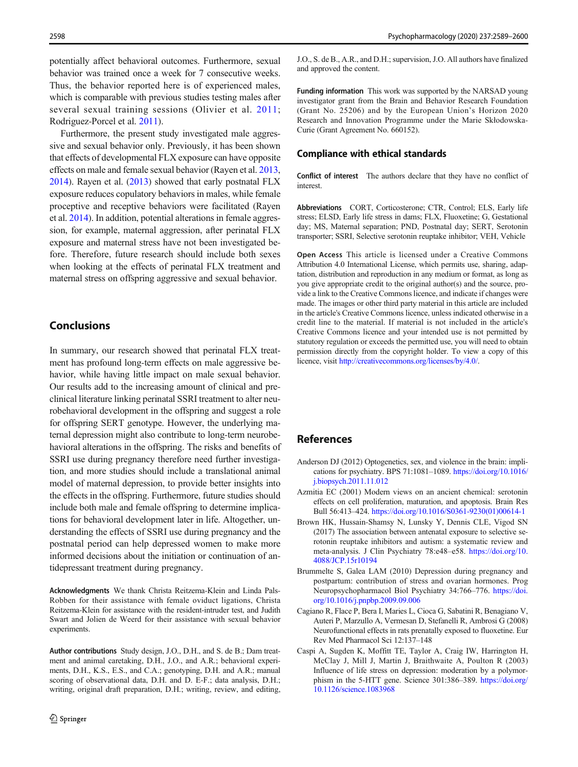<span id="page-9-0"></span>potentially affect behavioral outcomes. Furthermore, sexual behavior was trained once a week for 7 consecutive weeks. Thus, the behavior reported here is of experienced males, which is comparable with previous studies testing males after several sexual training sessions (Olivier et al. [2011](#page-11-0); Rodriguez-Porcel et al. [2011\)](#page-11-0).

Furthermore, the present study investigated male aggressive and sexual behavior only. Previously, it has been shown that effects of developmental FLX exposure can have opposite effects on male and female sexual behavior (Rayen et al. [2013,](#page-11-0) [2014\)](#page-11-0). Rayen et al. [\(2013\)](#page-11-0) showed that early postnatal FLX exposure reduces copulatory behaviors in males, while female proceptive and receptive behaviors were facilitated (Rayen et al. [2014\)](#page-11-0). In addition, potential alterations in female aggression, for example, maternal aggression, after perinatal FLX exposure and maternal stress have not been investigated before. Therefore, future research should include both sexes when looking at the effects of perinatal FLX treatment and maternal stress on offspring aggressive and sexual behavior.

# Conclusions

In summary, our research showed that perinatal FLX treatment has profound long-term effects on male aggressive behavior, while having little impact on male sexual behavior. Our results add to the increasing amount of clinical and preclinical literature linking perinatal SSRI treatment to alter neurobehavioral development in the offspring and suggest a role for offspring SERT genotype. However, the underlying maternal depression might also contribute to long-term neurobehavioral alterations in the offspring. The risks and benefits of SSRI use during pregnancy therefore need further investigation, and more studies should include a translational animal model of maternal depression, to provide better insights into the effects in the offspring. Furthermore, future studies should include both male and female offspring to determine implications for behavioral development later in life. Altogether, understanding the effects of SSRI use during pregnancy and the postnatal period can help depressed women to make more informed decisions about the initiation or continuation of antidepressant treatment during pregnancy.

Acknowledgments We thank Christa Reitzema-Klein and Linda Pals-Robben for their assistance with female oviduct ligations, Christa Reitzema-Klein for assistance with the resident-intruder test, and Judith Swart and Jolien de Weerd for their assistance with sexual behavior experiments.

Author contributions Study design, J.O., D.H., and S. de B.; Dam treatment and animal caretaking, D.H., J.O., and A.R.; behavioral experiments, D.H., K.S., E.S., and C.A.; genotyping, D.H. and A.R.; manual scoring of observational data, D.H. and D. E-F.; data analysis, D.H.; writing, original draft preparation, D.H.; writing, review, and editing, J.O., S. de B., A.R., and D.H.; supervision, J.O. All authors have finalized and approved the content.

Funding information This work was supported by the NARSAD young investigator grant from the Brain and Behavior Research Foundation (Grant No. 25206) and by the European Union's Horizon 2020 Research and Innovation Programme under the Marie Skłodowska-Curie (Grant Agreement No. 660152).

#### Compliance with ethical standards

Conflict of interest The authors declare that they have no conflict of interest.

Abbreviations CORT, Corticosterone; CTR, Control; ELS, Early life stress; ELSD, Early life stress in dams; FLX, Fluoxetine; G, Gestational day; MS, Maternal separation; PND, Postnatal day; SERT, Serotonin transporter; SSRI, Selective serotonin reuptake inhibitor; VEH, Vehicle

Open Access This article is licensed under a Creative Commons Attribution 4.0 International License, which permits use, sharing, adaptation, distribution and reproduction in any medium or format, as long as you give appropriate credit to the original author(s) and the source, provide a link to the Creative Commons licence, and indicate if changes were made. The images or other third party material in this article are included in the article's Creative Commons licence, unless indicated otherwise in a credit line to the material. If material is not included in the article's Creative Commons licence and your intended use is not permitted by statutory regulation or exceeds the permitted use, you will need to obtain permission directly from the copyright holder. To view a copy of this licence, visit <http://creativecommons.org/licenses/by/4.0/>.

# References

- Anderson DJ (2012) Optogenetics, sex, and violence in the brain: implications for psychiatry. BPS 71:1081–1089. [https://doi.org/10.1016/](https://doi.org/10.1016/j.biopsych.2011.11.012) [j.biopsych.2011.11.012](https://doi.org/10.1016/j.biopsych.2011.11.012)
- Azmitia EC (2001) Modern views on an ancient chemical: serotonin effects on cell proliferation, maturation, and apoptosis. Brain Res Bull 56:413–424. [https://doi.org/10.1016/S0361-9230\(01\)00614-1](https://doi.org/10.1016/S0361-9230(01)00614-1)
- Brown HK, Hussain-Shamsy N, Lunsky Y, Dennis CLE, Vigod SN (2017) The association between antenatal exposure to selective serotonin reuptake inhibitors and autism: a systematic review and meta-analysis. J Clin Psychiatry 78:e48–e58. [https://doi.org/10.](https://doi.org/10.4088/JCP.15r10194) [4088/JCP.15r10194](https://doi.org/10.4088/JCP.15r10194)
- Brummelte S, Galea LAM (2010) Depression during pregnancy and postpartum: contribution of stress and ovarian hormones. Prog Neuropsychopharmacol Biol Psychiatry 34:766–776. [https://doi.](https://doi.org/10.1016/j.pnpbp.2009.09.006) [org/10.1016/j.pnpbp.2009.09.006](https://doi.org/10.1016/j.pnpbp.2009.09.006)
- Cagiano R, Flace P, Bera I, Maries L, Cioca G, Sabatini R, Benagiano V, Auteri P, Marzullo A, Vermesan D, Stefanelli R, Ambrosi G (2008) Neurofunctional effects in rats prenatally exposed to fluoxetine. Eur Rev Med Pharmacol Sci 12:137–148
- Caspi A, Sugden K, Moffitt TE, Taylor A, Craig IW, Harrington H, McClay J, Mill J, Martin J, Braithwaite A, Poulton R (2003) Influence of life stress on depression: moderation by a polymorphism in the 5-HTT gene. Science 301:386–389. [https://doi.org/](https://doi.org/10.1126/science.1083968) [10.1126/science.1083968](https://doi.org/10.1126/science.1083968)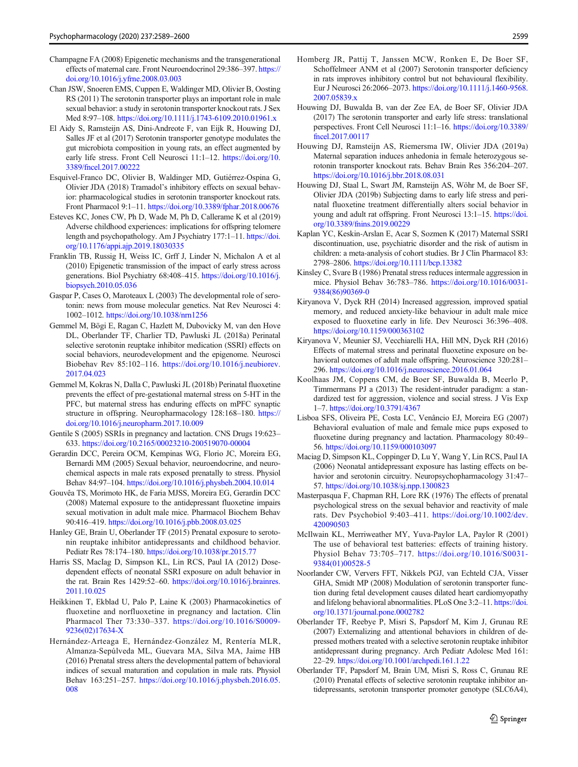- <span id="page-10-0"></span>Champagne FA (2008) Epigenetic mechanisms and the transgenerational effects of maternal care. Front Neuroendocrinol 29:386–397. [https://](https://doi.org/10.1016/j.yfrne.2008.03.003) [doi.org/10.1016/j.yfrne.2008.03.003](https://doi.org/10.1016/j.yfrne.2008.03.003)
- Chan JSW, Snoeren EMS, Cuppen E, Waldinger MD, Olivier B, Oosting RS (2011) The serotonin transporter plays an important role in male sexual behavior: a study in serotonin transporter knockout rats. J Sex Med 8:97–108. <https://doi.org/10.1111/j.1743-6109.2010.01961.x>
- El Aidy S, Ramsteijn AS, Dini-Andreote F, van Eijk R, Houwing DJ, Salles JF et al (2017) Serotonin transporter genotype modulates the gut microbiota composition in young rats, an effect augmented by early life stress. Front Cell Neurosci 11:1–12. [https://doi.org/10.](https://doi.org/10.3389/fncel.2017.00222) [3389/fncel.2017.00222](https://doi.org/10.3389/fncel.2017.00222)
- Esquivel-Franco DC, Olivier B, Waldinger MD, Gutiérrez-Ospina G, Olivier JDA (2018) Tramadol's inhibitory effects on sexual behavior: pharmacological studies in serotonin transporter knockout rats. Front Pharmacol 9:1–11. [https://doi.org/10.3389/fphar.2018.00676](http://creativecommons.org/licenses/by/4.0/)
- Esteves KC, Jones CW, Ph D, Wade M, Ph D, Callerame K et al (2019) Adverse childhood experiences: implications for offspring telomere length and psychopathology. Am J Psychiatry 177:1–11. [https://doi.](https://doi.org/10.1176/appi.ajp.2019.18030335) [org/10.1176/appi.ajp.2019.18030335](https://doi.org/10.1176/appi.ajp.2019.18030335)
- Franklin TB, Russig H, Weiss IC, Grff J, Linder N, Michalon A et al (2010) Epigenetic transmission of the impact of early stress across generations. Biol Psychiatry 68:408–415. [https://doi.org/10.1016/j.](https://doi.org/10.1016/j.biopsych.2010.05.036) [biopsych.2010.05.036](https://doi.org/10.1016/j.biopsych.2010.05.036)
- Gaspar P, Cases O, Maroteaux L (2003) The developmental role of serotonin: news from mouse molecular genetics. Nat Rev Neurosci 4: 1002–1012. <https://doi.org/10.1038/nrn1256>
- Gemmel M, Bögi E, Ragan C, Hazlett M, Dubovicky M, van den Hove DL, Oberlander TF, Charlier TD, Pawluski JL (2018a) Perinatal selective serotonin reuptake inhibitor medication (SSRI) effects on social behaviors, neurodevelopment and the epigenome. Neurosci Biobehav Rev 85:102–116. [https://doi.org/10.1016/j.neubiorev.](https://doi.org/10.1016/j.neubiorev.2017.04.023) [2017.04.023](https://doi.org/10.1016/j.neubiorev.2017.04.023)
- Gemmel M, Kokras N, Dalla C, Pawluski JL (2018b) Perinatal fluoxetine prevents the effect of pre-gestational maternal stress on 5-HT in the PFC, but maternal stress has enduring effects on mPFC synaptic structure in offspring. Neuropharmacology 128:168–180. [https://](https://doi.org/10.1016/j.neuropharm.2017.10.009) [doi.org/10.1016/j.neuropharm.2017.10.009](https://doi.org/10.1016/j.neuropharm.2017.10.009)
- Gentile S (2005) SSRIs in pregnancy and lactation. CNS Drugs 19:623– 633. <https://doi.org/10.2165/00023210-200519070-00004>
- Gerardin DCC, Pereira OCM, Kempinas WG, Florio JC, Moreira EG, Bernardi MM (2005) Sexual behavior, neuroendocrine, and neurochemical aspects in male rats exposed prenatally to stress. Physiol Behav 84:97–104. <https://doi.org/10.1016/j.physbeh.2004.10.014>
- Gouvêa TS, Morimoto HK, de Faria MJSS, Moreira EG, Gerardin DCC (2008) Maternal exposure to the antidepressant fluoxetine impairs sexual motivation in adult male mice. Pharmacol Biochem Behav 90:416–419. <https://doi.org/10.1016/j.pbb.2008.03.025>
- Hanley GE, Brain U, Oberlander TF (2015) Prenatal exposure to serotonin reuptake inhibitor antidepressants and childhood behavior. Pediatr Res 78:174–180. <https://doi.org/10.1038/pr.2015.77>
- Harris SS, MacIag D, Simpson KL, Lin RCS, Paul IA (2012) Dosedependent effects of neonatal SSRI exposure on adult behavior in the rat. Brain Res 1429:52–60. [https://doi.org/10.1016/j.brainres.](https://doi.org/10.1016/j.brainres.2011.10.025) [2011.10.025](https://doi.org/10.1016/j.brainres.2011.10.025)
- Heikkinen T, Ekblad U, Palo P, Laine K (2003) Pharmacokinetics of fluoxetine and norfluoxetine in pregnancy and lactation. Clin Pharmacol Ther 73:330–337. [https://doi.org/10.1016/S0009-](https://doi.org/10.1016/S0009-9236(02)17634-X) [9236\(02\)17634-X](https://doi.org/10.1016/S0009-9236(02)17634-X)
- Hernández-Arteaga E, Hernández-González M, Rentería MLR, Almanza-Sepúlveda ML, Guevara MA, Silva MA, Jaime HB (2016) Prenatal stress alters the developmental pattern of behavioral indices of sexual maturation and copulation in male rats. Physiol Behav 163:251–257. [https://doi.org/10.1016/j.physbeh.2016.05.](https://doi.org/10.1016/j.physbeh.2016.05.008) [008](https://doi.org/10.1016/j.physbeh.2016.05.008)
- Homberg JR, Pattij T, Janssen MCW, Ronken E, De Boer SF, Schoffelmeer ANM et al (2007) Serotonin transporter deficiency in rats improves inhibitory control but not behavioural flexibility. Eur J Neurosci 26:2066–2073. [https://doi.org/10.1111/j.1460-9568.](https://doi.org/10.1111/j.1460-9568.2007.05839.x) [2007.05839.x](https://doi.org/10.1111/j.1460-9568.2007.05839.x)
- Houwing DJ, Buwalda B, van der Zee EA, de Boer SF, Olivier JDA (2017) The serotonin transporter and early life stress: translational perspectives. Front Cell Neurosci 11:1–16. [https://doi.org/10.3389/](https://doi.org/10.3389/fncel.2017.00117) [fncel.2017.00117](https://doi.org/10.3389/fncel.2017.00117)
- Houwing DJ, Ramsteijn AS, Riemersma IW, Olivier JDA (2019a) Maternal separation induces anhedonia in female heterozygous serotonin transporter knockout rats. Behav Brain Res 356:204–207. <https://doi.org/10.1016/j.bbr.2018.08.031>
- Houwing DJ, Staal L, Swart JM, Ramsteijn AS, Wöhr M, de Boer SF, Olivier JDA (2019b) Subjecting dams to early life stress and perinatal fluoxetine treatment differentially alters social behavior in young and adult rat offspring. Front Neurosci 13:1–15. [https://doi.](https://doi.org/10.3389/fnins.2019.00229) [org/10.3389/fnins.2019.00229](https://doi.org/10.3389/fnins.2019.00229)
- Kaplan YC, Keskin-Arslan E, Acar S, Sozmen K (2017) Maternal SSRI discontinuation, use, psychiatric disorder and the risk of autism in children: a meta-analysis of cohort studies. Br J Clin Pharmacol 83: 2798–2806. <https://doi.org/10.1111/bcp.13382>
- Kinsley C, Svare B (1986) Prenatal stress reduces intermale aggression in mice. Physiol Behav 36:783–786. [https://doi.org/10.1016/0031-](https://doi.org/10.1016/0031-9384(86)90369-0) [9384\(86\)90369-0](https://doi.org/10.1016/0031-9384(86)90369-0)
- Kiryanova V, Dyck RH (2014) Increased aggression, improved spatial memory, and reduced anxiety-like behaviour in adult male mice exposed to fluoxetine early in life. Dev Neurosci 36:396–408. <https://doi.org/10.1159/000363102>
- Kiryanova V, Meunier SJ, Vecchiarelli HA, Hill MN, Dyck RH (2016) Effects of maternal stress and perinatal fluoxetine exposure on behavioral outcomes of adult male offspring. Neuroscience 320:281– 296. <https://doi.org/10.1016/j.neuroscience.2016.01.064>
- Koolhaas JM, Coppens CM, de Boer SF, Buwalda B, Meerlo P, Timmermans PJ a (2013) The resident-intruder paradigm: a standardized test for aggression, violence and social stress. J Vis Exp 1–7. <https://doi.org/10.3791/4367>
- Lisboa SFS, Oliveira PE, Costa LC, Venâncio EJ, Moreira EG (2007) Behavioral evaluation of male and female mice pups exposed to fluoxetine during pregnancy and lactation. Pharmacology 80:49– 56. <https://doi.org/10.1159/000103097>
- Maciag D, Simpson KL, Coppinger D, Lu Y, Wang Y, Lin RCS, Paul IA (2006) Neonatal antidepressant exposure has lasting effects on behavior and serotonin circuitry. Neuropsychopharmacology 31:47– 57. <https://doi.org/10.1038/sj.npp.1300823>
- Masterpasqua F, Chapman RH, Lore RK (1976) The effects of prenatal psychological stress on the sexual behavior and reactivity of male rats. Dev Psychobiol 9:403–411. [https://doi.org/10.1002/dev.](https://doi.org/10.1002/dev.420090503) [420090503](https://doi.org/10.1002/dev.420090503)
- McIlwain KL, Merriweather MY, Yuva-Paylor LA, Paylor R (2001) The use of behavioral test batteries: effects of training history. Physiol Behav 73:705–717. [https://doi.org/10.1016/S0031-](https://doi.org/10.1016/S0031-9384(01)00528-5) [9384\(01\)00528-5](https://doi.org/10.1016/S0031-9384(01)00528-5)
- Noorlander CW, Ververs FFT, Nikkels PGJ, van Echteld CJA, Visser GHA, Smidt MP (2008) Modulation of serotonin transporter function during fetal development causes dilated heart cardiomyopathy and lifelong behavioral abnormalities. PLoS One 3:2–11. [https://doi.](https://doi.org/10.1371/journal.pone.0002782) [org/10.1371/journal.pone.0002782](https://doi.org/10.1371/journal.pone.0002782)
- Oberlander TF, Reebye P, Misri S, Papsdorf M, Kim J, Grunau RE (2007) Externalizing and attentional behaviors in children of depressed mothers treated with a selective serotonin reuptake inhibitor antidepressant during pregnancy. Arch Pediatr Adolesc Med 161: 22–29. <https://doi.org/10.1001/archpedi.161.1.22>
- Oberlander TF, Papsdorf M, Brain UM, Misri S, Ross C, Grunau RE (2010) Prenatal effects of selective serotonin reuptake inhibitor antidepressants, serotonin transporter promoter genotype (SLC6A4),